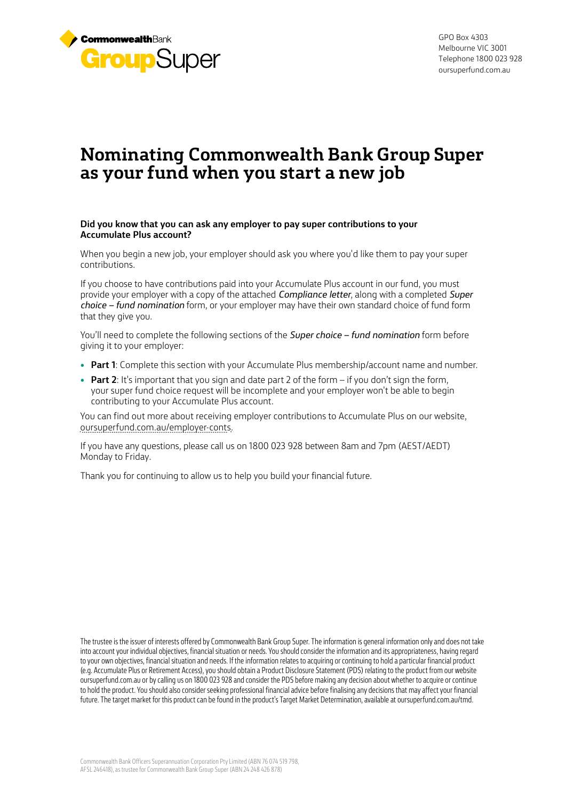

GPO Box 4303 Melbourne VIC 3001 Telephone 1800 023 928 oursuperfund.com.au

# **Nominating Commonwealth Bank Group Super as your fund when you start a new job**

### **Did you know that you can ask any employer to pay super contributions to your Accumulate Plus account?**

When you begin a new job, your employer should ask you where you'd like them to pay your super contributions.

If you choose to have contributions paid into your Accumulate Plus account in our fund, you must provide your employer with a copy of the attached *Compliance letter*, along with a completed *Super choice – fund nomination* form, or your employer may have their own standard choice of fund form that they give you.

You'll need to complete the following sections of the *Super choice – fund nomination* form before giving it to your employer:

- **Part 1**: Complete this section with your Accumulate Plus membership/account name and number.
- **Part 2**: It's important that you sign and date part 2 of the form if you don't sign the form, your super fund choice request will be incomplete and your employer won't be able to begin contributing to your Accumulate Plus account.

You can find out more about receiving employer contributions to Accumulate Plus on our website, [oursuperfund.com.au/employer-conts](https://www.oursuperfund.com.au/employer-conts).

If you have any questions, please call us on 1800 023 928 between 8am and 7pm (AEST/AEDT) Monday to Friday.

Thank you for continuing to allow us to help you build your financial future.

The trustee is the issuer of interests offered by Commonwealth Bank Group Super. The information is general information only and does not take into account your individual objectives, financial situation or needs. You should consider the information and its appropriateness, having regard to your own objectives, financial situation and needs. If the information relates to acquiring or continuing to hold a particular financial product (e.g. Accumulate Plus or Retirement Access), you should obtain a Product Disclosure Statement (PDS) relating to the product from our website oursuperfund.com.au or by calling us on 1800 023 928 and consider the PDS before making any decision about whether to acquire or continue to hold the product. You should also consider seeking professional financial advice before finalising any decisions that may affect your financial future. The target market for this product can be found in the product's Target Market Determination, available at oursuperfund.com.au/tmd.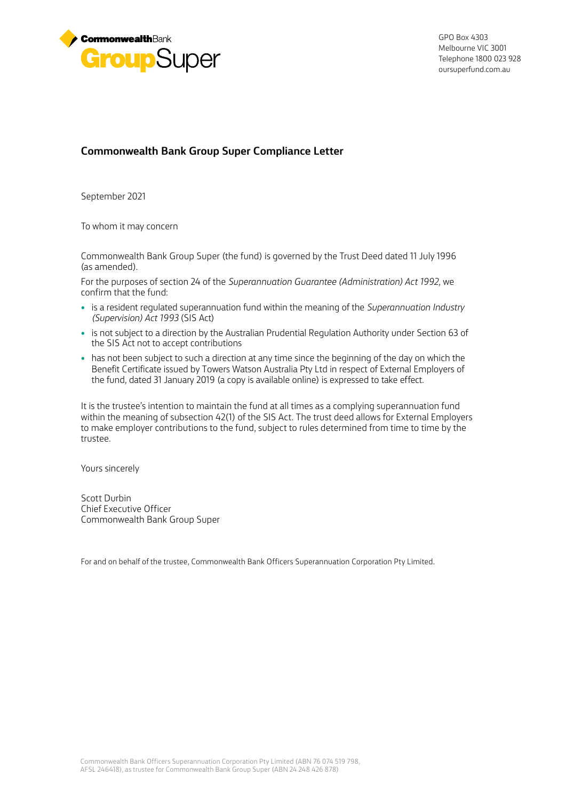

GPO Box 4303 Melbourne VIC 3001 Telephone 1800 023 928 [oursuperfund.com.au](http://oursuperfund.com.au)

## **Commonwealth Bank Group Super Compliance Letter**

September 2021

To whom it may concern

Commonwealth Bank Group Super (the fund) is governed by the Trust Deed dated 11 July 1996 (as amended).

For the purposes of section 24 of the *Superannuation Guarantee (Administration) Act 1992*, we confirm that the fund:

- is a resident regulated superannuation fund within the meaning of the *Superannuation Industry (Supervision) Act 1993* (SIS Act)
- is not subject to a direction by the Australian Prudential Regulation Authority under Section 63 of the SIS Act not to accept contributions
- has not been subject to such a direction at any time since the beginning of the day on which the Benefit Certificate issued by Towers Watson Australia Pty Ltd in respect of External Employers of the fund, dated 31 January 2019 (a copy is available online) is expressed to take effect.

It is the trustee's intention to maintain the fund at all times as a complying superannuation fund within the meaning of subsection 42(1) of the SIS Act. The trust deed allows for External Employers to make employer contributions to the fund, subject to rules determined from time to time by the trustee.

Yours sincerely

Scott Durbin Chief Executive Officer Commonwealth Bank Group Super

For and on behalf of the trustee, Commonwealth Bank Officers Superannuation Corporation Pty Limited.